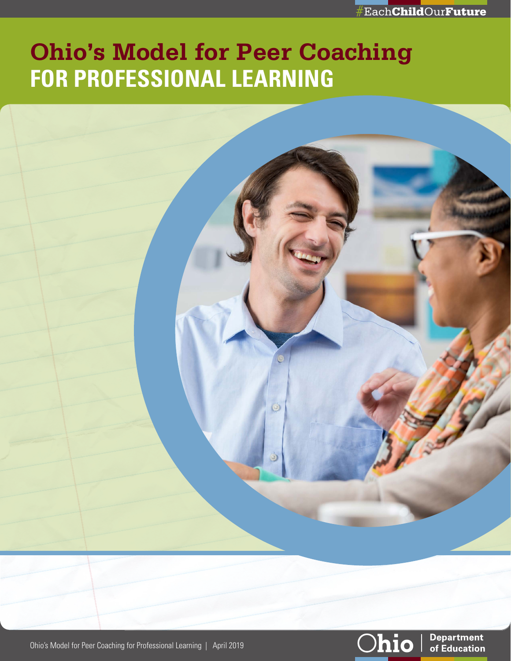

# **Ohio's Model for Peer Coaching FOR PROFESSIONAL LEARNING**

 $\circledcirc$ 





**Department** of Education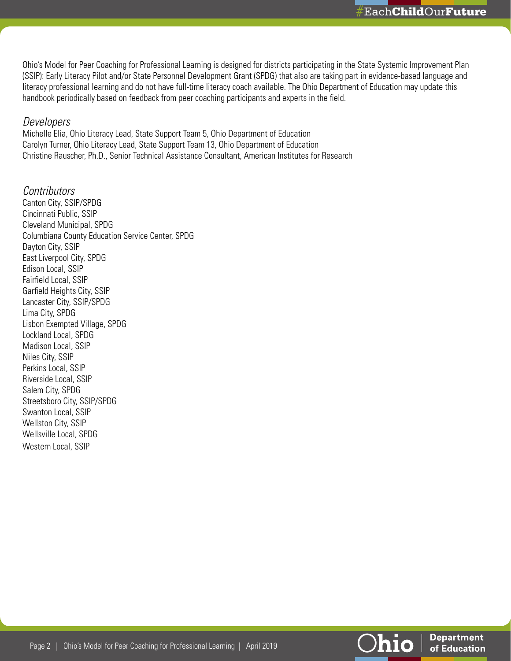Ohio's Model for Peer Coaching for Professional Learning is designed for districts participating in the State Systemic Improvement Plan (SSIP): Early Literacy Pilot and/or State Personnel Development Grant (SPDG) that also are taking part in evidence-based language and literacy professional learning and do not have full-time literacy coach available. The Ohio Department of Education may update this handbook periodically based on feedback from peer coaching participants and experts in the field.

#### *Developers*

Michelle Elia, Ohio Literacy Lead, State Support Team 5, Ohio Department of Education Carolyn Turner, Ohio Literacy Lead, State Support Team 13, Ohio Department of Education Christine Rauscher, Ph.D., Senior Technical Assistance Consultant, American Institutes for Research

*Contributors* Canton City, SSIP/SPDG Cincinnati Public, SSIP Cleveland Municipal, SPDG Columbiana County Education Service Center, SPDG Dayton City, SSIP East Liverpool City, SPDG Edison Local, SSIP Fairfield Local, SSIP Garfield Heights City, SSIP Lancaster City, SSIP/SPDG Lima City, SPDG Lisbon Exempted Village, SPDG Lockland Local, SPDG Madison Local, SSIP Niles City, SSIP Perkins Local, SSIP Riverside Local, SSIP Salem City, SPDG Streetsboro City, SSIP/SPDG Swanton Local, SSIP Wellston City, SSIP Wellsville Local, SPDG Western Local, SSIP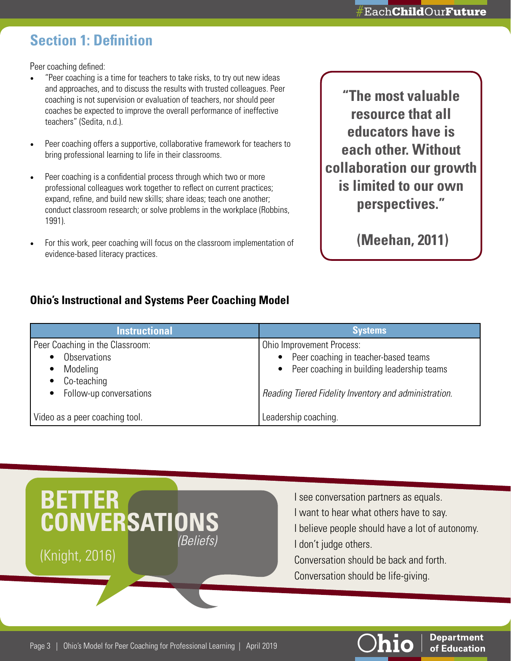# **Section 1: Definition**

Peer coaching defined:

- "Peer coaching is a time for teachers to take risks, to try out new ideas and approaches, and to discuss the results with trusted colleagues. Peer coaching is not supervision or evaluation of teachers, nor should peer coaches be expected to improve the overall performance of ineffective teachers" (Sedita, n.d.).
- Peer coaching offers a supportive, collaborative framework for teachers to bring professional learning to life in their classrooms.
- Peer coaching is a confidential process through which two or more professional colleagues work together to reflect on current practices; expand, refine, and build new skills; share ideas; teach one another; conduct classroom research; or solve problems in the workplace (Robbins, 1991).
- For this work, peer coaching will focus on the classroom implementation of evidence-based literacy practices.

**"The most valuable resource that all educators have is each other. Without collaboration our growth is limited to our own perspectives."** 

 **(Meehan, 2011)**

### **Ohio's Instructional and Systems Peer Coaching Model**

| <b>Instructional</b>                                                              | <b>Systems</b>                                                                                                                            |
|-----------------------------------------------------------------------------------|-------------------------------------------------------------------------------------------------------------------------------------------|
| Peer Coaching in the Classroom:<br><b>Observations</b><br>Modeling<br>Co-teaching | Ohio Improvement Process:<br>Peer coaching in teacher-based teams<br>$\bullet$<br>Peer coaching in building leadership teams<br>$\bullet$ |
| • Follow-up conversations                                                         | Reading Tiered Fidelity Inventory and administration.                                                                                     |
| Video as a peer coaching tool.                                                    | Leadership coaching.                                                                                                                      |



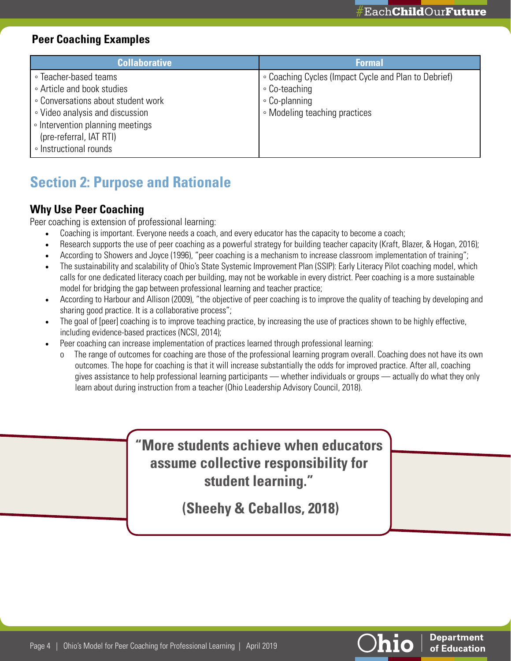**Department** of Education

### **Peer Coaching Examples**

| <b>Collaborative</b>               | <b>Formal</b>                                        |
|------------------------------------|------------------------------------------------------|
| • Teacher-based teams              | • Coaching Cycles (Impact Cycle and Plan to Debrief) |
| • Article and book studies         | ∘ Co-teaching                                        |
| • Conversations about student work | ∘ Co-planning                                        |
| • Video analysis and discussion    | • Modeling teaching practices                        |
| • Intervention planning meetings   |                                                      |
| (pre-referral, IAT RTI)            |                                                      |
| ∘ Instructional rounds             |                                                      |

# **Section 2: Purpose and Rationale**

### **Why Use Peer Coaching**

Peer coaching is extension of professional learning:

- Coaching is important. Everyone needs a coach, and every educator has the capacity to become a coach;
- Research supports the use of peer coaching as a powerful strategy for building teacher capacity (Kraft, Blazer, & Hogan, 2016);
- According to Showers and Joyce (1996), "peer coaching is a mechanism to increase classroom implementation of training";
- The sustainability and scalability of Ohio's State Systemic Improvement Plan (SSIP): Early Literacy Pilot coaching model, which calls for one dedicated literacy coach per building, may not be workable in every district. Peer coaching is a more sustainable model for bridging the gap between professional learning and teacher practice;
- According to Harbour and Allison (2009), "the objective of peer coaching is to improve the quality of teaching by developing and sharing good practice. It is a collaborative process";
- The goal of [peer] coaching is to improve teaching practice, by increasing the use of practices shown to be highly effective, including evidence-based practices (NCSI, 2014);
- Peer coaching can increase implementation of practices learned through professional learning:
	- The range of outcomes for coaching are those of the professional learning program overall. Coaching does not have its own outcomes. The hope for coaching is that it will increase substantially the odds for improved practice. After all, coaching gives assistance to help professional learning participants — whether individuals or groups — actually do what they only learn about during instruction from a teacher (Ohio Leadership Advisory Council, 2018).

**"More students achieve when educators assume collective responsibility for student learning."** 

 **(Sheehy & Ceballos, 2018)**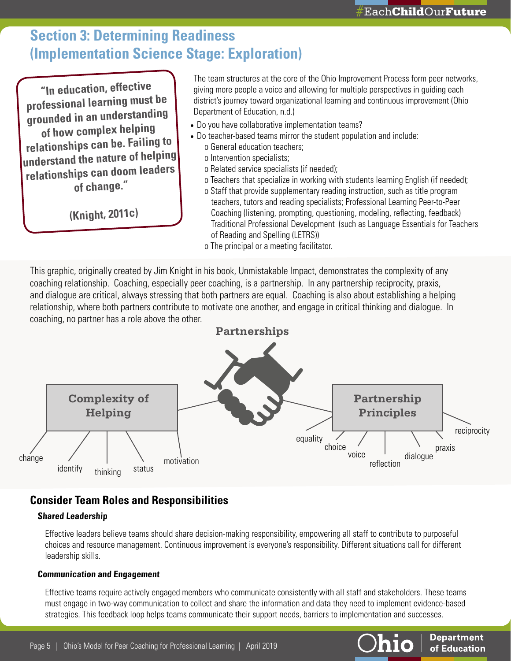**Department** of Education

# **Section 3: Determining Readiness (Implementation Science Stage: Exploration)**

**"In education, effective professional learning must be grounded in an understanding of how complex helping relationships can be. Failing to understand the nature of helping relationships can doom leaders of change."** 

 **(Knight, 2011c)**

The team structures at the core of the Ohio Improvement Process form peer networks, giving more people a voice and allowing for multiple perspectives in guiding each district's journey toward organizational learning and continuous improvement (Ohio Department of Education, n.d.)

- Do you have collaborative implementation teams?
- Do teacher-based teams mirror the student population and include: o General education teachers;
	- o Intervention specialists;
	- o Related service specialists (if needed);
	- o Teachers that specialize in working with students learning English (if needed);
	- o Staff that provide supplementary reading instruction, such as title program teachers, tutors and reading specialists; Professional Learning Peer-to-Peer Coaching (listening, prompting, questioning, modeling, reflecting, feedback) Traditional Professional Development (such as Language Essentials for Teachers of Reading and Spelling (LETRS))
	- o The principal or a meeting facilitator.

This graphic, originally created by Jim Knight in his book, Unmistakable Impact, demonstrates the complexity of any coaching relationship. Coaching, especially peer coaching, is a partnership. In any partnership reciprocity, praxis, and dialogue are critical, always stressing that both partners are equal. Coaching is also about establishing a helping relationship, where both partners contribute to motivate one another, and engage in critical thinking and dialogue. In coaching, no partner has a role above the other.



### **Consider Team Roles and Responsibilities**

#### **Shared Leadership**

Effective leaders believe teams should share decision-making responsibility, empowering all staff to contribute to purposeful choices and resource management. Continuous improvement is everyone's responsibility. Different situations call for different leadership skills.

#### **Communication and Engagement**

Effective teams require actively engaged members who communicate consistently with all staff and stakeholders. These teams must engage in two-way communication to collect and share the information and data they need to implement evidence-based strategies. This feedback loop helps teams communicate their support needs, barriers to implementation and successes.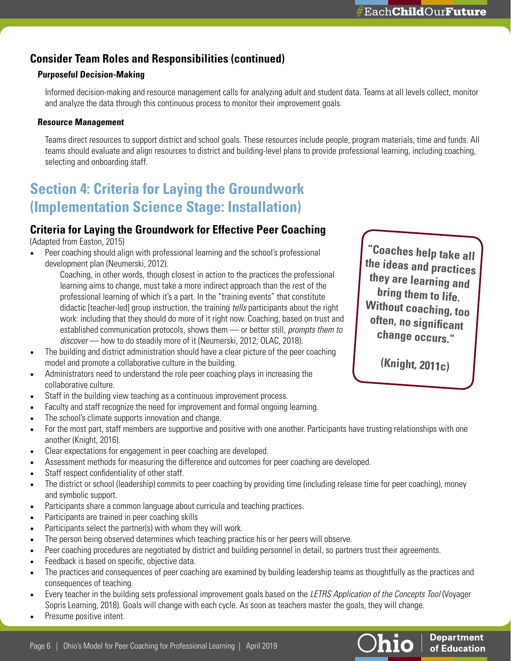### **Consider Team Roles and Responsibilities (continued)**

#### **Purposeful Decision-Making**

Informed decision-making and resource management calls for analyzing adult and student data. Teams at all levels collect, monitor and analyze the data through this continuous process to monitor their improvement goals.

#### **Resource Management**

Teams direct resources to support district and school goals. These resources include people, program materials, time and funds. All teams should evaluate and align resources to district and building-level plans to provide professional learning, including coaching, selecting and onboarding staff.

# **Section 4: Criteria for Laying the Groundwork (Implementation Science Stage: Installation)**

### **Criteria for Laying the Groundwork for Effective Peer Coaching**

(Adapted from Easton, 2015)

• Peer coaching should align with professional learning and the school's professional development plan (Neumerski, 2012).

Coaching, in other words, though closest in action to the practices the professional learning aims to change, must take a more indirect approach than the rest of the professional learning of which it's a part. In the "training events" that constitute didactic [teacher-led] group instruction, the training *tells* participants about the right work: including that they should do more of it right now. Coaching, based on trust and established communication protocols, shows them — or better still, *prompts them to discover* — how to do steadily more of it (Neumerski, 2012; OLAC, 2018).

- The building and district administration should have a clear picture of the peer coaching model and promote a collaborative culture in the building.
- Administrators need to understand the role peer coaching plays in increasing the collaborative culture.
- Staff in the building view teaching as a continuous improvement process.
- Faculty and staff recognize the need for improvement and formal ongoing learning.
- The school's climate supports innovation and change.
- For the most part, staff members are supportive and positive with one another. Participants have trusting relationships with one another (Knight, 2016).
- Clear expectations for engagement in peer coaching are developed.
- Assessment methods for measuring the difference and outcomes for peer coaching are developed.
- Staff respect confidentiality of other staff.
- The district or school (leadership) commits to peer coaching by providing time (including release time for peer coaching), money and symbolic support.
- Participants share a common language about curricula and teaching practices.
- Participants are trained in peer coaching skills
- Participants select the partner(s) with whom they will work.
- The person being observed determines which teaching practice his or her peers will observe.
- Peer coaching procedures are negotiated by district and building personnel in detail, so partners trust their agreements.
- Feedback is based on specific, objective data.
- The practices and consequences of peer coaching are examined by building leadership teams as thoughtfully as the practices and consequences of teaching.
- Every teacher in the building sets professional improvement goals based on the *LETRS Application of the Concepts Tool* (Voyager Sopris Learning, 2018). Goals will change with each cycle. As soon as teachers master the goals, they will change.
- Presume positive intent.

**"Coaches help take all the ideas and practices they are learning and bring them to life. Without coaching, too often, no significant change occurs."**

 **(Knight, 2011c)**

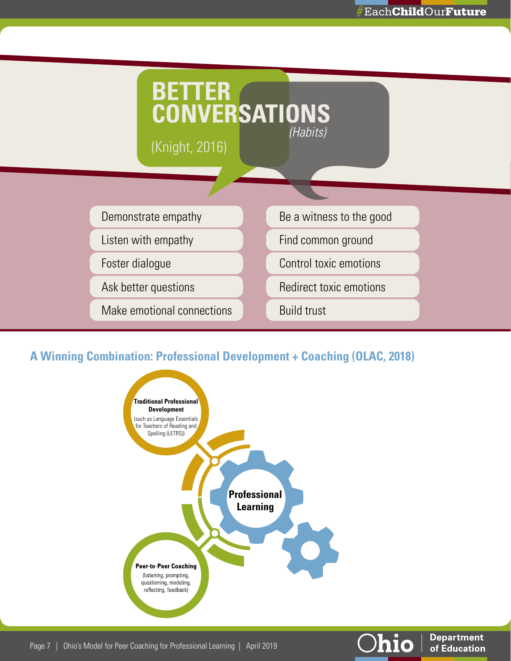**Department** 

of Education

o



### **A Winning Combination: Professional Development + Coaching (OLAC, 2018)**

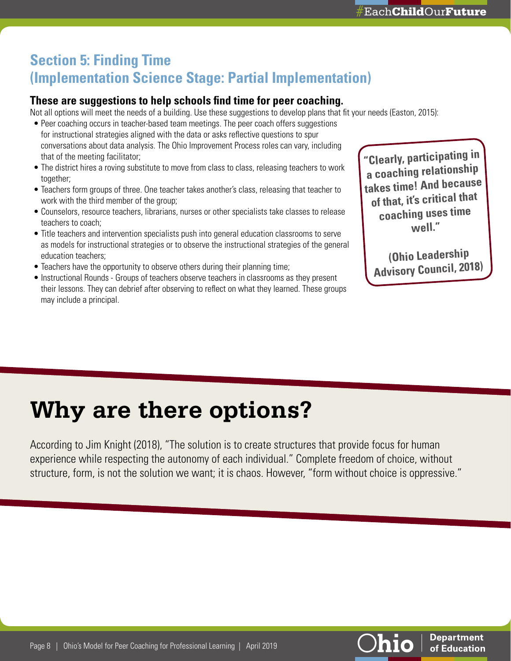# **Section 5: Finding Time (Implementation Science Stage: Partial Implementation)**

### **These are suggestions to help schools find time for peer coaching.**

Not all options will meet the needs of a building. Use these suggestions to develop plans that fit your needs (Easton, 2015):

- Peer coaching occurs in teacher-based team meetings. The peer coach offers suggestions for instructional strategies aligned with the data or asks reflective questions to spur conversations about data analysis. The Ohio Improvement Process roles can vary, including that of the meeting facilitator;
- The district hires a roving substitute to move from class to class, releasing teachers to work together;
- Teachers form groups of three. One teacher takes another's class, releasing that teacher to work with the third member of the group;
- Counselors, resource teachers, librarians, nurses or other specialists take classes to release teachers to coach;
- Title teachers and intervention specialists push into general education classrooms to serve as models for instructional strategies or to observe the instructional strategies of the general education teachers;
- Teachers have the opportunity to observe others during their planning time;
- Instructional Rounds Groups of teachers observe teachers in classrooms as they present their lessons. They can debrief after observing to reflect on what they learned. These groups may include a principal.

**"Clearly, participating in a coaching relationship takes time! And because of that, it's critical that coaching uses time well."**

 **(Ohio Leadership Advisory Council, 2018)**

> **Department** of Education

# **Why are there options?**

According to Jim Knight (2018), "The solution is to create structures that provide focus for human experience while respecting the autonomy of each individual." Complete freedom of choice, without structure, form, is not the solution we want; it is chaos. However, "form without choice is oppressive."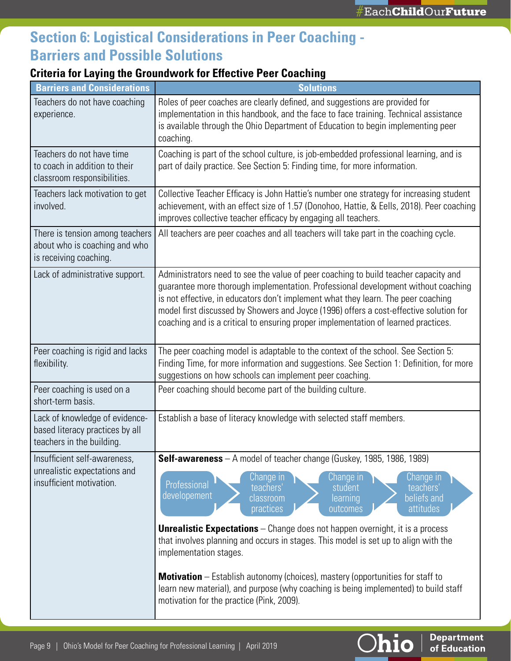**Department** 

of Education

<u>Ohio</u>

# **Section 6: Logistical Considerations in Peer Coaching - Barriers and Possible Solutions**

### **Criteria for Laying the Groundwork for Effective Peer Coaching**

| <b>Barriers and Considerations</b>                                                             | <b>Solutions</b>                                                                                                                                                                                                                                                                                                                                                                                                                                                                                                                                                                                                                                                                                              |
|------------------------------------------------------------------------------------------------|---------------------------------------------------------------------------------------------------------------------------------------------------------------------------------------------------------------------------------------------------------------------------------------------------------------------------------------------------------------------------------------------------------------------------------------------------------------------------------------------------------------------------------------------------------------------------------------------------------------------------------------------------------------------------------------------------------------|
| Teachers do not have coaching<br>experience.                                                   | Roles of peer coaches are clearly defined, and suggestions are provided for<br>implementation in this handbook, and the face to face training. Technical assistance<br>is available through the Ohio Department of Education to begin implementing peer<br>coaching.                                                                                                                                                                                                                                                                                                                                                                                                                                          |
| Teachers do not have time<br>to coach in addition to their<br>classroom responsibilities.      | Coaching is part of the school culture, is job-embedded professional learning, and is<br>part of daily practice. See Section 5: Finding time, for more information.                                                                                                                                                                                                                                                                                                                                                                                                                                                                                                                                           |
| Teachers lack motivation to get<br>involved.                                                   | Collective Teacher Efficacy is John Hattie's number one strategy for increasing student<br>achievement, with an effect size of 1.57 (Donohoo, Hattie, & Eells, 2018). Peer coaching<br>improves collective teacher efficacy by engaging all teachers.                                                                                                                                                                                                                                                                                                                                                                                                                                                         |
| There is tension among teachers<br>about who is coaching and who<br>is receiving coaching.     | All teachers are peer coaches and all teachers will take part in the coaching cycle.                                                                                                                                                                                                                                                                                                                                                                                                                                                                                                                                                                                                                          |
| Lack of administrative support.                                                                | Administrators need to see the value of peer coaching to build teacher capacity and<br>guarantee more thorough implementation. Professional development without coaching<br>is not effective, in educators don't implement what they learn. The peer coaching<br>model first discussed by Showers and Joyce (1996) offers a cost-effective solution for<br>coaching and is a critical to ensuring proper implementation of learned practices.                                                                                                                                                                                                                                                                 |
| Peer coaching is rigid and lacks<br>flexibility.                                               | The peer coaching model is adaptable to the context of the school. See Section 5:<br>Finding Time, for more information and suggestions. See Section 1: Definition, for more<br>suggestions on how schools can implement peer coaching.                                                                                                                                                                                                                                                                                                                                                                                                                                                                       |
| Peer coaching is used on a<br>short-term basis.                                                | Peer coaching should become part of the building culture.                                                                                                                                                                                                                                                                                                                                                                                                                                                                                                                                                                                                                                                     |
| Lack of knowledge of evidence-<br>based literacy practices by all<br>teachers in the building. | Establish a base of literacy knowledge with selected staff members.                                                                                                                                                                                                                                                                                                                                                                                                                                                                                                                                                                                                                                           |
| Insufficient self-awareness,<br>unrealistic expectations and<br>insufficient motivation.       | <b>Self-awareness</b> $-$ A model of teacher change (Guskey, 1985, 1986, 1989)<br>Change in<br>Change in<br>Change in<br>Professional<br>teachers'<br>teachers'<br>student<br>developement<br>beliefs and<br>classroom<br>learning<br>attitudes<br>practices<br>outcomes<br><b>Unrealistic Expectations</b> – Change does not happen overnight, it is a process<br>that involves planning and occurs in stages. This model is set up to align with the<br>implementation stages.<br><b>Motivation</b> – Establish autonomy (choices), mastery (opportunities for staff to<br>learn new material), and purpose (why coaching is being implemented) to build staff<br>motivation for the practice (Pink, 2009). |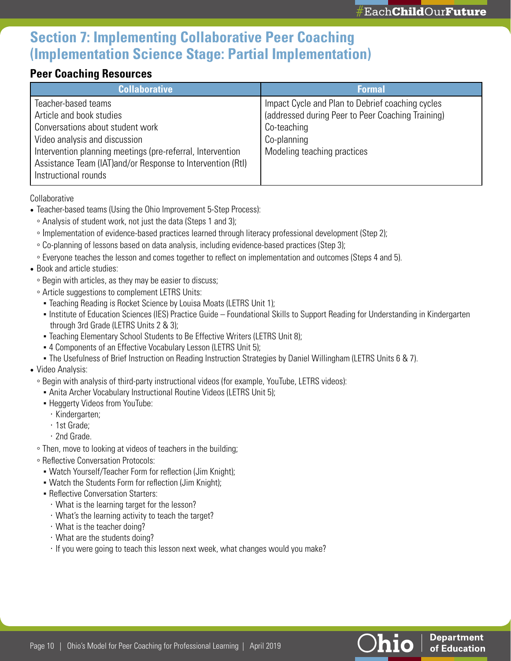# **Section 7: Implementing Collaborative Peer Coaching (Implementation Science Stage: Partial Implementation)**

### **Peer Coaching Resources**

| <b>Collaborative</b>                                        | <b>Formal</b>                                     |
|-------------------------------------------------------------|---------------------------------------------------|
| Teacher-based teams                                         | Impact Cycle and Plan to Debrief coaching cycles  |
| Article and book studies                                    | (addressed during Peer to Peer Coaching Training) |
| Conversations about student work                            | Co-teaching                                       |
| Video analysis and discussion                               | Co-planning                                       |
| Intervention planning meetings (pre-referral, Intervention  | Modeling teaching practices                       |
| Assistance Team (IAT) and/or Response to Intervention (Rtl) |                                                   |
| Instructional rounds                                        |                                                   |

Collaborative

- Teacher-based teams (Using the Ohio Improvement 5-Step Process):
	- Analysis of student work, not just the data (Steps 1 and 3);
	- Implementation of evidence-based practices learned through literacy professional development (Step 2);
	- Co-planning of lessons based on data analysis, including evidence-based practices (Step 3);
	- Everyone teaches the lesson and comes together to reflect on implementation and outcomes (Steps 4 and 5).
- Book and article studies:
	- Begin with articles, as they may be easier to discuss;
	- Article suggestions to complement LETRS Units:
		- Teaching Reading is Rocket Science by Louisa Moats (LETRS Unit 1);
		- Institute of Education Sciences (IES) Practice Guide Foundational Skills to Support Reading for Understanding in Kindergarten through 3rd Grade (LETRS Units 2 & 3);
		- **Teaching Elementary School Students to Be Effective Writers (LETRS Unit 8);**
		- 4 Components of an Effective Vocabulary Lesson (LETRS Unit 5);
	- The Usefulness of Brief Instruction on Reading Instruction Strategies by Daniel Willingham (LETRS Units 6 & 7).

#### • Video Analysis:

- Begin with analysis of third-party instructional videos (for example, YouTube, LETRS videos):
	- Anita Archer Vocabulary Instructional Routine Videos (LETRS Unit 5);
	- **Heggerty Videos from YouTube:** 
		- · Kindergarten;
		- · 1st Grade;
		- · 2nd Grade.
- Then, move to looking at videos of teachers in the building;
- Reflective Conversation Protocols:
	- Watch Yourself/Teacher Form for reflection (Jim Knight);
	- Watch the Students Form for reflection (Jim Knight);
	- **Reflective Conversation Starters:** 
		- · What is the learning target for the lesson?
		- · What's the learning activity to teach the target?
		- · What is the teacher doing?
		- · What are the students doing?
		- · If you were going to teach this lesson next week, what changes would you make?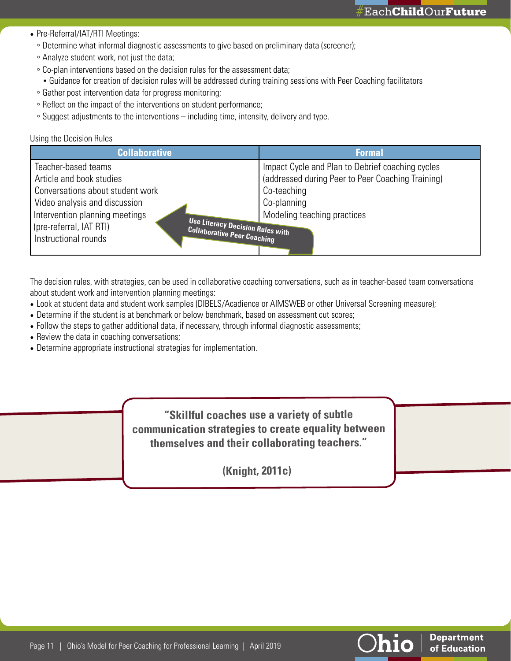**Department** of Education

- Pre-Referral/IAT/RTI Meetings:
	- Determine what informal diagnostic assessments to give based on preliminary data (screener);
	- Analyze student work, not just the data;
	- Co-plan interventions based on the decision rules for the assessment data;
	- Guidance for creation of decision rules will be addressed during training sessions with Peer Coaching facilitators
	- Gather post intervention data for progress monitoring;
	- Reflect on the impact of the interventions on student performance;
	- Suggest adjustments to the interventions including time, intensity, delivery and type.

#### Using the Decision Rules

| <b>Collaborative</b>                                        | <b>Formal</b>                                     |
|-------------------------------------------------------------|---------------------------------------------------|
| Teacher-based teams                                         | Impact Cycle and Plan to Debrief coaching cycles  |
| Article and book studies                                    | (addressed during Peer to Peer Coaching Training) |
| Conversations about student work                            | Co-teaching                                       |
| Video analysis and discussion                               | Co-planning                                       |
| Intervention planning meetings                              | Modeling teaching practices                       |
| Use Literacy Decision Rules with<br>(pre-referral, IAT RTI) |                                                   |
| <b>Collaborative Peer Coaching</b><br>Instructional rounds  |                                                   |
|                                                             |                                                   |

The decision rules, with strategies, can be used in collaborative coaching conversations, such as in teacher-based team conversations about student work and intervention planning meetings:

- Look at student data and student work samples (DIBELS/Acadience or AIMSWEB or other Universal Screening measure);
- Determine if the student is at benchmark or below benchmark, based on assessment cut scores;
- Follow the steps to gather additional data, if necessary, through informal diagnostic assessments;
- Review the data in coaching conversations;
- Determine appropriate instructional strategies for implementation.

**"Skillful coaches use a variety of subtle communication strategies to create equality between themselves and their collaborating teachers."**

**(Knight, 2011c)**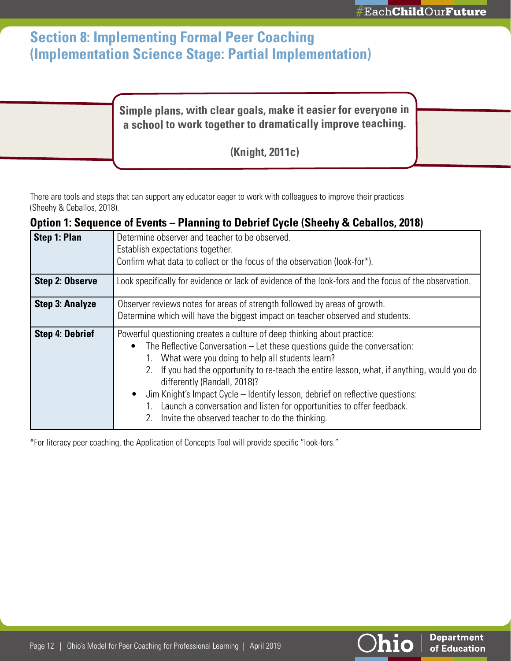# **Section 8: Implementing Formal Peer Coaching (Implementation Science Stage: Partial Implementation)**

### **Simple plans, with clear goals, make it easier for everyone in a school to work together to dramatically improve teaching.**

**(Knight, 2011c)**

There are tools and steps that can support any educator eager to work with colleagues to improve their practices (Sheehy & Ceballos, 2018).

### **Option 1: Sequence of Events – Planning to Debrief Cycle (Sheehy & Ceballos, 2018)**

| Step 1: Plan           | Determine observer and teacher to be observed.                                                        |
|------------------------|-------------------------------------------------------------------------------------------------------|
|                        | Establish expectations together.                                                                      |
|                        | Confirm what data to collect or the focus of the observation (look-for*).                             |
|                        |                                                                                                       |
| <b>Step 2: Observe</b> | Look specifically for evidence or lack of evidence of the look-fors and the focus of the observation. |
| <b>Step 3: Analyze</b> | Observer reviews notes for areas of strength followed by areas of growth.                             |
|                        | Determine which will have the biggest impact on teacher observed and students.                        |
|                        |                                                                                                       |
| <b>Step 4: Debrief</b> | Powerful questioning creates a culture of deep thinking about practice:                               |
|                        | The Reflective Conversation $-$ Let these questions guide the conversation:                           |
|                        | What were you doing to help all students learn?                                                       |
|                        | If you had the opportunity to re-teach the entire lesson, what, if anything, would you do<br>2.       |
|                        | differently (Randall, 2018)?                                                                          |
|                        | Jim Knight's Impact Cycle – Identify lesson, debrief on reflective questions:<br>$\bullet$            |
|                        | Launch a conversation and listen for opportunities to offer feedback.                                 |
|                        |                                                                                                       |
|                        | Invite the observed teacher to do the thinking.<br>2.                                                 |
|                        |                                                                                                       |

\*For literacy peer coaching, the Application of Concepts Tool will provide specific "look-fors."

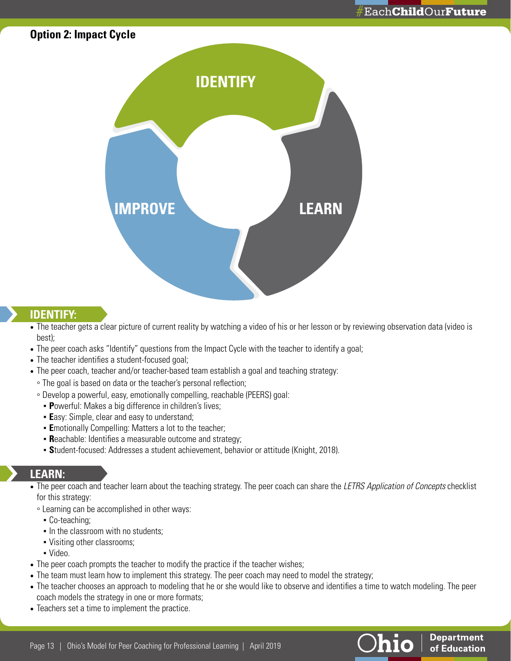### **Option 2: Impact Cycle**



#### **IDENTIFY:**

- The teacher gets a clear picture of current reality by watching a video of his or her lesson or by reviewing observation data (video is best);
- The peer coach asks "Identify" questions from the Impact Cycle with the teacher to identify a goal;
- The teacher identifies a student-focused goal;
- The peer coach, teacher and/or teacher-based team establish a goal and teaching strategy:
- The goal is based on data or the teacher's personal reflection;
- Develop a powerful, easy, emotionally compelling, reachable (PEERS) goal:
	- **P**owerful: Makes a big difference in children's lives;
	- **Easy: Simple, clear and easy to understand;**
	- **E**motionally Compelling: Matters a lot to the teacher;
	- **Reachable: Identifies a measurable outcome and strategy;**
	- **S**tudent-focused: Addresses a student achievement, behavior or attitude (Knight, 2018).

### **LEARN:**

- The peer coach and teacher learn about the teaching strategy. The peer coach can share the *LETRS Application of Concepts* checklist for this strategy:
	- Learning can be accomplished in other ways:
		- Co-teaching;
		- In the classroom with no students;
		- Visiting other classrooms;
		- Video.
- The peer coach prompts the teacher to modify the practice if the teacher wishes;
- The team must learn how to implement this strategy. The peer coach may need to model the strategy;
- The teacher chooses an approach to modeling that he or she would like to observe and identifies a time to watch modeling. The peer coach models the strategy in one or more formats;
- Teachers set a time to implement the practice.

**Department** of Education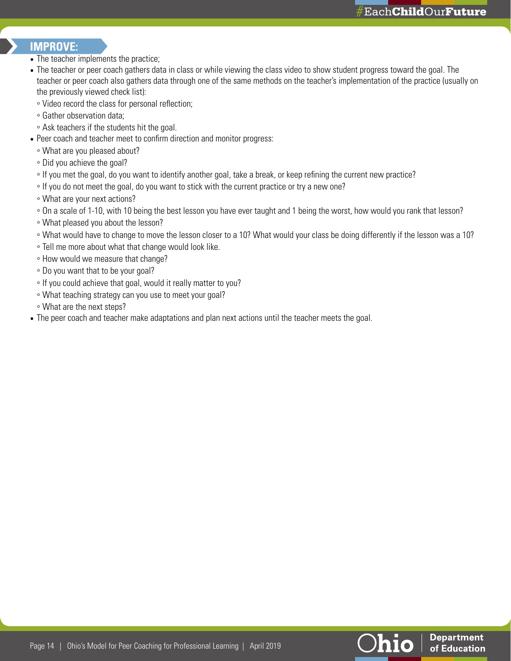### **IMPROVE:**

- The teacher implements the practice;
- The teacher or peer coach gathers data in class or while viewing the class video to show student progress toward the goal. The teacher or peer coach also gathers data through one of the same methods on the teacher's implementation of the practice (usually on the previously viewed check list):
	- Video record the class for personal reflection;
	- Gather observation data;
	- Ask teachers if the students hit the goal.
- Peer coach and teacher meet to confirm direction and monitor progress:
	- What are you pleased about?
	- Did you achieve the goal?
- If you met the goal, do you want to identify another goal, take a break, or keep refining the current new practice?
- If you do not meet the goal, do you want to stick with the current practice or try a new one?
- What are your next actions?
- On a scale of 1-10, with 10 being the best lesson you have ever taught and 1 being the worst, how would you rank that lesson?
- What pleased you about the lesson?
- What would have to change to move the lesson closer to a 10? What would your class be doing differently if the lesson was a 10?
- Tell me more about what that change would look like.
- How would we measure that change?
- Do you want that to be your goal?
- If you could achieve that goal, would it really matter to you?
- What teaching strategy can you use to meet your goal?
- What are the next steps?
- The peer coach and teacher make adaptations and plan next actions until the teacher meets the goal.

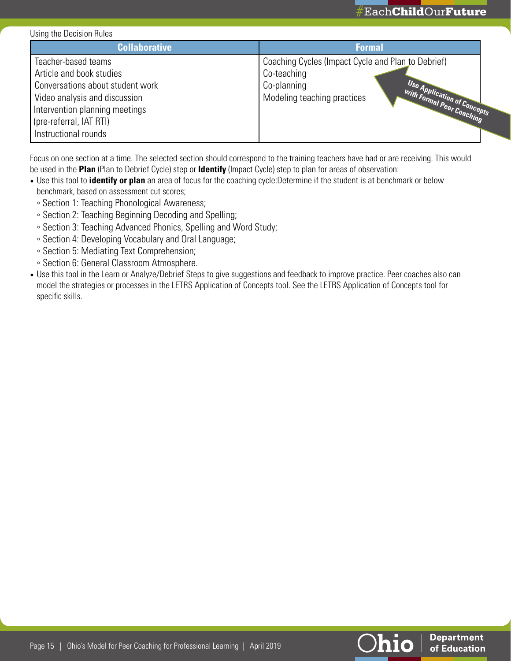

#### Using the Decision Rules

| <b>Collaborative</b>                                                                                                                                                              | <b>Formal</b>                                                                                                                                                               |
|-----------------------------------------------------------------------------------------------------------------------------------------------------------------------------------|-----------------------------------------------------------------------------------------------------------------------------------------------------------------------------|
| Teacher-based teams<br>Article and book studies<br>Conversations about student work<br>Video analysis and discussion<br>Intervention planning meetings<br>(pre-referral, IAT RTI) | Coaching Cycles (Impact Cycle and Plan to Debrief)<br>Co-teaching<br>Co-planning<br>Use Application of Concepts<br>With Formal Peer Coaching<br>Modeling teaching practices |
| Instructional rounds                                                                                                                                                              |                                                                                                                                                                             |

Focus on one section at a time. The selected section should correspond to the training teachers have had or are receiving. This would be used in the **Plan** (Plan to Debrief Cycle) step or **Identify** (Impact Cycle) step to plan for areas of observation:

- Use this tool to **identify or plan** an area of focus for the coaching cycle:Determine if the student is at benchmark or below benchmark, based on assessment cut scores;
	- Section 1: Teaching Phonological Awareness;
	- Section 2: Teaching Beginning Decoding and Spelling;
	- Section 3: Teaching Advanced Phonics, Spelling and Word Study;
	- Section 4: Developing Vocabulary and Oral Language;
	- Section 5: Mediating Text Comprehension;
	- Section 6: General Classroom Atmosphere.
- Use this tool in the Learn or Analyze/Debrief Steps to give suggestions and feedback to improve practice. Peer coaches also can model the strategies or processes in the LETRS Application of Concepts tool. See the LETRS Application of Concepts tool for specific skills.



**Department** 

of Education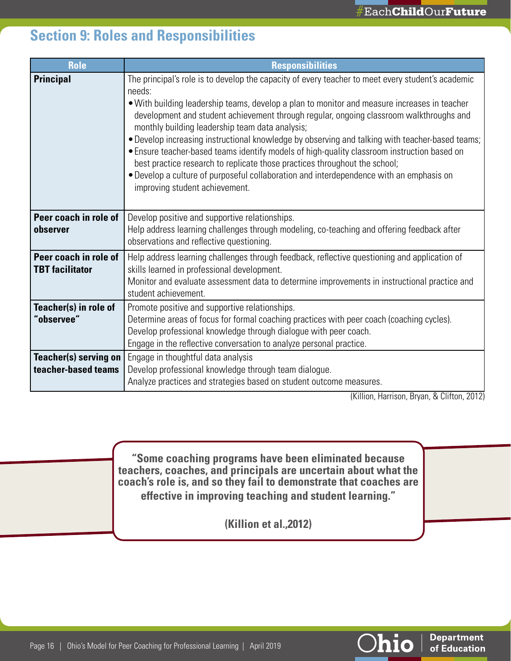# **Section 9: Roles and Responsibilities**

| <b>Role</b>                                     | <b>Responsibilities</b>                                                                                                                                                                                                                                                                                                                                                                                                                                                                                                                                                                                                                                                                                                                                                |  |
|-------------------------------------------------|------------------------------------------------------------------------------------------------------------------------------------------------------------------------------------------------------------------------------------------------------------------------------------------------------------------------------------------------------------------------------------------------------------------------------------------------------------------------------------------------------------------------------------------------------------------------------------------------------------------------------------------------------------------------------------------------------------------------------------------------------------------------|--|
| <b>Principal</b>                                | The principal's role is to develop the capacity of every teacher to meet every student's academic<br>needs:<br>• With building leadership teams, develop a plan to monitor and measure increases in teacher<br>development and student achievement through regular, ongoing classroom walkthroughs and<br>monthly building leadership team data analysis;<br>. Develop increasing instructional knowledge by observing and talking with teacher-based teams;<br>• Ensure teacher-based teams identify models of high-quality classroom instruction based on<br>best practice research to replicate those practices throughout the school;<br>• Develop a culture of purposeful collaboration and interdependence with an emphasis on<br>improving student achievement. |  |
| Peer coach in role of<br>observer               | Develop positive and supportive relationships.<br>Help address learning challenges through modeling, co-teaching and offering feedback after<br>observations and reflective questioning.                                                                                                                                                                                                                                                                                                                                                                                                                                                                                                                                                                               |  |
| Peer coach in role of<br><b>TBT</b> facilitator | Help address learning challenges through feedback, reflective questioning and application of<br>skills learned in professional development.<br>Monitor and evaluate assessment data to determine improvements in instructional practice and<br>student achievement.                                                                                                                                                                                                                                                                                                                                                                                                                                                                                                    |  |
| Teacher(s) in role of<br>"observee"             | Promote positive and supportive relationships.<br>Determine areas of focus for formal coaching practices with peer coach (coaching cycles).<br>Develop professional knowledge through dialogue with peer coach.<br>Engage in the reflective conversation to analyze personal practice.                                                                                                                                                                                                                                                                                                                                                                                                                                                                                 |  |
| Teacher(s) serving on<br>teacher-based teams    | Engage in thoughtful data analysis<br>Develop professional knowledge through team dialogue.<br>Analyze practices and strategies based on student outcome measures.                                                                                                                                                                                                                                                                                                                                                                                                                                                                                                                                                                                                     |  |

(Killion, Harrison, Bryan, & Clifton, 2012)

**Department** 

of Education

<u> Ohio</u>

**"Some coaching programs have been eliminated because teachers, coaches, and principals are uncertain about what the coach's role is, and so they fail to demonstrate that coaches are effective in improving teaching and student learning."** 

**(Killion et al.,2012)**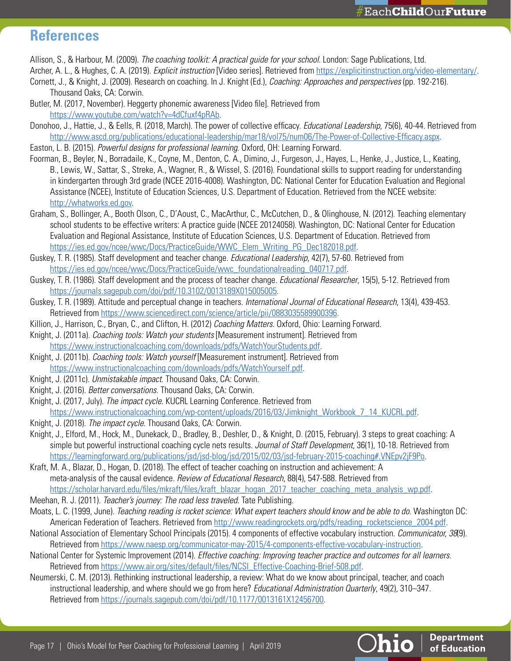**Department** 

of Education

hio

## **References**

Allison, S., & Harbour, M. (2009). *The coaching toolkit: A practical guide for your school*. London: Sage Publications, Ltd.

- Archer, A. L., & Hughes, C. A. (2019). *Explicit instruction* [Video series]. Retrieved from [https://explicitinstruction.org/video-elementary/.](https://explicitinstruction.org/video-elementary/) Cornett, J., & Knight, J. (2009). Research on coaching. In J. Knight (Ed.), *Coaching: Approaches and perspectives* (pp. 192-216).
- Thousand Oaks, CA: Corwin. Butler, M. (2017, November). Heggerty phonemic awareness [Video file]. Retrieved from
- [https://www.youtube.com/watch?v=4dCfuxf4pRAb.](https://www.youtube.com/watch?v=4dCfuxf4pRAb) Donohoo, J., Hattie, J., & Eells, R. (2018, March). The power of collective efficacy. *Educational Leadership*, 75(6), 40-44. Retrieved from <http://www.ascd.org/publications/educational-leadership/mar18/vol75/num06/The-Power-of-Collective-Efficacy.aspx>.
- Easton, L. B. (2015). *Powerful designs for professional learning*. Oxford, OH: Learning Forward.
- Foorman, B., Beyler, N., Borradaile, K., Coyne, M., Denton, C. A., Dimino, J., Furgeson, J., Hayes, L., Henke, J., Justice, L., Keating, B., Lewis, W., Sattar, S., Streke, A., Wagner, R., & Wissel, S. (2016). Foundational skills to support reading for understanding in kindergarten through 3rd grade (NCEE 2016-4008). Washington, DC: National Center for Education Evaluation and Regional Assistance (NCEE), Institute of Education Sciences, U.S. Department of Education. Retrieved from the NCEE website: [http://whatworks.ed.gov.](https://ies.ed.gov/ncee/wwc/)
- Graham, S., Bollinger, A., Booth Olson, C., D'Aoust, C., MacArthur, C., McCutchen, D., & Olinghouse, N. (2012). Teaching elementary school students to be effective writers: A practice guide (NCEE 20124058). Washington, DC: National Center for Education Evaluation and Regional Assistance, Institute of Education Sciences, U.S. Department of Education. Retrieved from [https://ies.ed.gov/ncee/wwc/Docs/PracticeGuide/WWC\\_Elem\\_Writing\\_PG\\_Dec182018.pdf](https://ies.ed.gov/ncee/wwc/Docs/PracticeGuide/WWC_Elem_Writing_PG_Dec182018.pdf).
- Guskey, T. R. (1985). Staff development and teacher change. *Educational Leadership*, 42(7), 57-60. Retrieved from [https://ies.ed.gov/ncee/wwc/Docs/PracticeGuide/wwc\\_foundationalreading\\_040717.pdf](https://ies.ed.gov/ncee/wwc/Docs/PracticeGuide/wwc_foundationalreading_040717.pdf).
- Guskey, T. R. (1986). Staff development and the process of teacher change. *Educational Researcher*, 15(5), 5-12. Retrieved from [https://journals.sagepub.com/doi/pdf/10.3102/0013189X015005005.](https://journals.sagepub.com/doi/pdf/10.3102/0013189X015005005)
- Guskey, T. R. (1989). Attitude and perceptual change in teachers. *International Journal of Educational Research*, 13(4), 439-453. Retrieved from [https://www.sciencedirect.com/science/article/pii/0883035589900396.](https://www.sciencedirect.com/science/article/pii/0883035589900396)
- Killion, J., Harrison, C., Bryan, C., and Clifton, H. (2012) *Coaching Matters*. Oxford, Ohio: Learning Forward.
- Knight, J. (2011a). *Coaching tools: Watch your students* [Measurement instrument]. Retrieved from [https://www.instructionalcoaching.com/downloads/pdfs/WatchYourStudents.pdf.](https://www.instructionalcoaching.com/downloads/pdfs/WatchYourStudents.pdf)
- Knight, J. (2011b). *Coaching tools: Watch yourself* [Measurement instrument]. Retrieved from [https://www.instructionalcoaching.com/downloads/pdfs/WatchYourself.pdf.](https://www.instructionalcoaching.com/downloads/pdfs/WatchYourself.pdf)
- Knight, J. (2011c). *Unmistakable impact*. Thousand Oaks, CA: Corwin.
- Knight, J. (2016). *Better conversations*. Thousand Oaks, CA: Corwin.
- Knight, J. (2017, July). *The impact cycle*. KUCRL Learning Conference. Retrieved from [https://www.instructionalcoaching.com/wp-content/uploads/2016/03/Jimknight\\_Workbook\\_7\\_14\\_KUCRL.pdf.](https://www.instructionalcoaching.com/wp-content/uploads/2016/03/Jimknight_Workbook_7_14_KUCRL.pdf)
- Knight, J. (2018). *The impact cycle*. Thousand Oaks, CA: Corwin.
- Knight, J., Elford, M., Hock, M., Dunekack, D., Bradley, B., Deshler, D., & Knight, D. (2015, February). 3 steps to great coaching: A simple but powerful instructional coaching cycle nets results. *Journal of Staff Development*, 36(1), 10-18. Retrieved from [https://learningforward.org/publications/jsd/jsd-blog/jsd/2015/02/03/jsd-february-2015-coaching#.VNEpv2jF9Po.](https://learningforward.org/publications/jsd/jsd-blog/jsd/2015/02/03/jsd-february-2015-coaching#.VNEpv2jF9Po)
- Kraft, M. A., Blazar, D., Hogan, D. (2018). The effect of teacher coaching on instruction and achievement: A meta-analysis of the causal evidence. *Review of Educational Research*, 88(4), 547-588. Retrieved from [https://scholar.harvard.edu/files/mkraft/files/kraft\\_blazar\\_hogan\\_2017\\_teacher\\_coaching\\_meta\\_analysis\\_wp.pdf](https://scholar.harvard.edu/files/mkraft/files/kraft_blazar_hogan_2017_teacher_coaching_meta_analysis_wp.pdf).
- Meehan, R. J. (2011). *Teacher's journey: The road less traveled*. Tate Publishing.
- Moats, L. C. (1999, June). *Teaching reading is rocket science: What expert teachers should know and be able to do*. Washington DC: American Federation of Teachers. Retrieved from [http://www.readingrockets.org/pdfs/reading\\_rocketscience\\_2004.pdf](http://www.readingrockets.org/pdfs/reading_rocketscience_2004.pdf).
- National Association of Elementary School Principals (2015). 4 components of effective vocabulary instruction. *Communicator, 38*(9). Retrieved from<https://www.naesp.org/communicator-may-2015/4-components-effective-vocabulary-instruction>.
- National Center for Systemic Improvement (2014). *Effective coaching: Improving teacher practice and outcomes for all learners*. Retrieved from [https://www.air.org/sites/default/files/NCSI\\_Effective-Coaching-Brief-508.pdf](https://www.air.org/sites/default/files/NCSI_Effective-Coaching-Brief-508.pdf).
- Neumerski, C. M. (2013). Rethinking instructional leadership, a review: What do we know about principal, teacher, and coach instructional leadership, and where should we go from here? *Educational Administration Quarterly*, 49(2), 310–347. Retrieved from [https://journals.sagepub.com/doi/pdf/10.1177/0013161X12456700.](https://journals.sagepub.com/doi/pdf/10.1177/0013161X12456700)